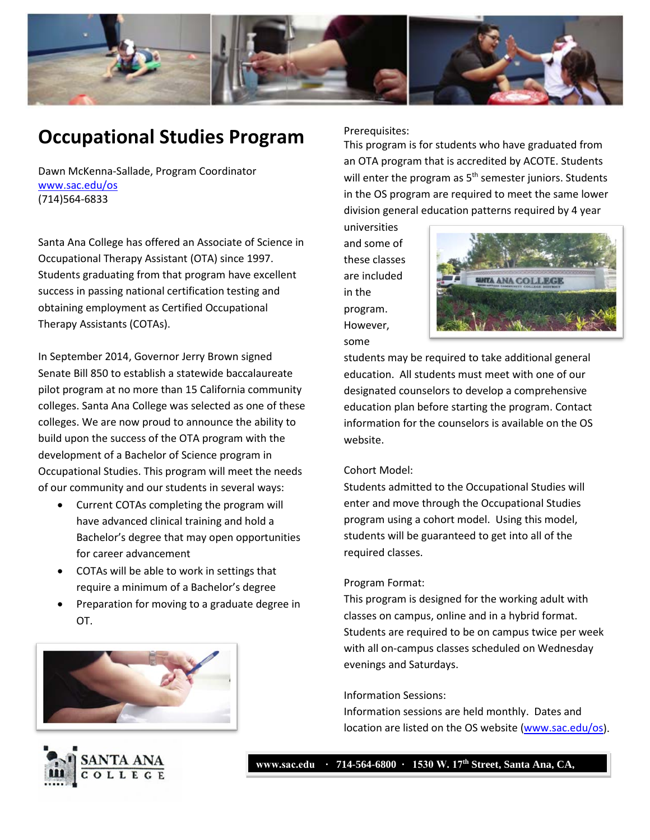

# **Occupational Studies Program**

Dawn McKenna-Sallade, Program Coordinator [www.sac.edu/os](http://www.sac.edu/os) (714)564-6833

Santa Ana College has offered an Associate of Science in Occupational Therapy Assistant (OTA) since 1997. Students graduating from that program have excellent success in passing national certification testing and obtaining employment as Certified Occupational Therapy Assistants (COTAs).

In September 2014, Governor Jerry Brown signed Senate Bill 850 to establish a statewide baccalaureate pilot program at no more than 15 California community colleges. Santa Ana College was selected as one of these colleges. We are now proud to announce the ability to build upon the success of the OTA program with the development of a Bachelor of Science program in Occupational Studies. This program will meet the needs of our community and our students in several ways:

- Current COTAs completing the program will have advanced clinical training and hold a Bachelor's degree that may open opportunities for career advancement
- COTAs will be able to work in settings that require a minimum of a Bachelor's degree
- Preparation for moving to a graduate degree in OT.





Prerequisites:

This program is for students who have graduated from an OTA program that is accredited by ACOTE. Students will enter the program as  $5<sup>th</sup>$  semester juniors. Students in the OS program are required to meet the same lower division general education patterns required by 4 year

universities and some of these classes are included in the program. However, some



students may be required to take additional general education. All students must meet with one of our designated counselors to develop a comprehensive education plan before starting the program. Contact information for the counselors is available on the OS website.

### Cohort Model:

Students admitted to the Occupational Studies will enter and move through the Occupational Studies program using a cohort model. Using this model, students will be guaranteed to get into all of the required classes.

### Program Format:

This program is designed for the working adult with classes on campus, online and in a hybrid format. Students are required to be on campus twice per week with all on-campus classes scheduled on Wednesday evenings and Saturdays.

### Information Sessions:

Information sessions are held monthly. Dates and location are listed on the OS website [\(www.sac.edu/os\)](http://www.sac.edu/os).

**www.sac.edu ∙ 714-564-6800 ∙ 1530 W. 17th Street, Santa Ana, CA,**